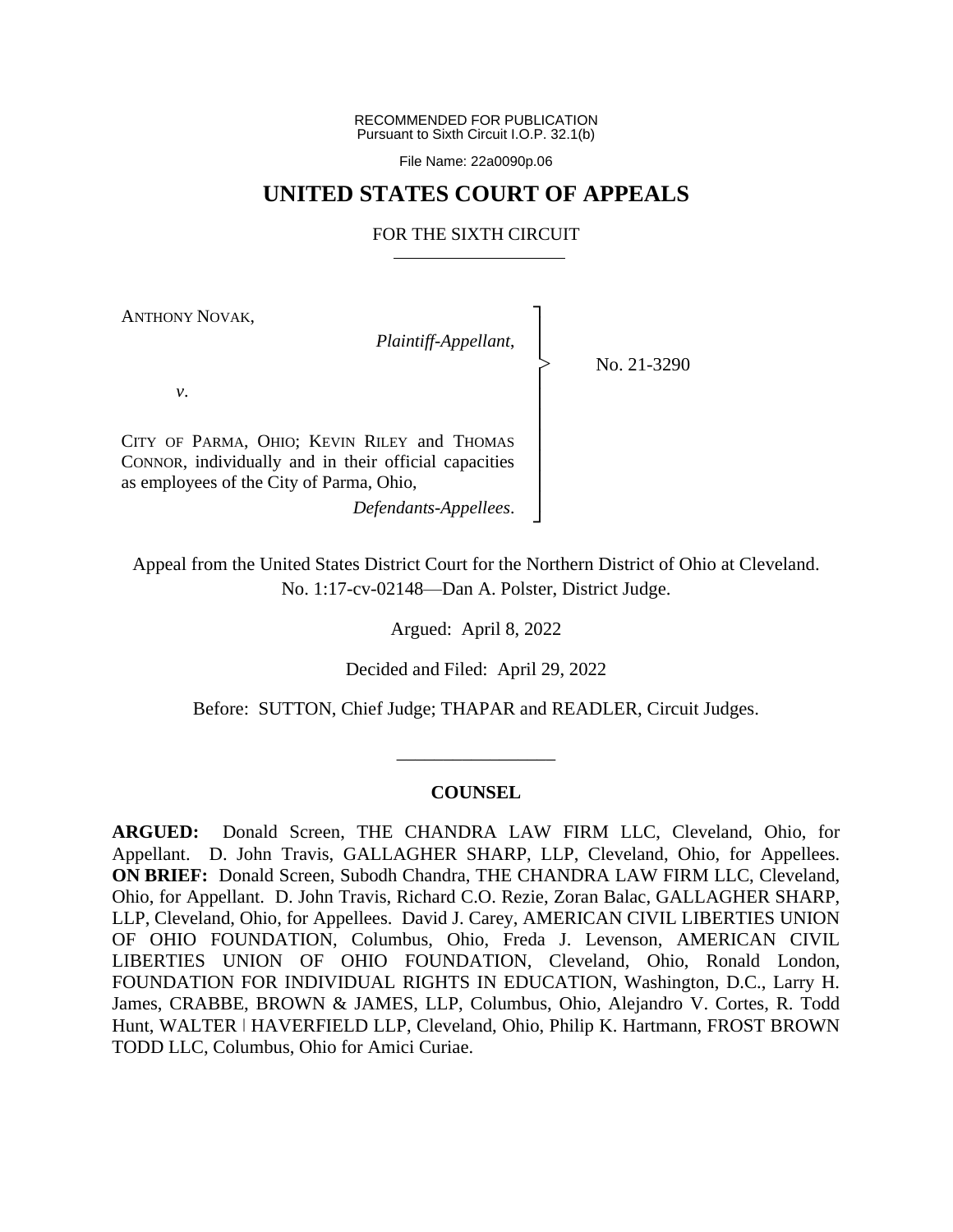RECOMMENDED FOR PUBLICATION Pursuant to Sixth Circuit I.O.P. 32.1(b)

File Name: 22a0090p.06

## **UNITED STATES COURT OF APPEALS**

## FOR THE SIXTH CIRCUIT

┐ │ │ │ │ │ │ │ │ │ ┘

|<br>|<br>|

ANTHONY NOVAK,

*Plaintiff-Appellant*,

No. 21-3290

*v*.

CITY OF PARMA, OHIO; KEVIN RILEY and THOMAS CONNOR, individually and in their official capacities as employees of the City of Parma, Ohio,

*Defendants-Appellees*.

Appeal from the United States District Court for the Northern District of Ohio at Cleveland. No. 1:17-cv-02148—Dan A. Polster, District Judge.

Argued: April 8, 2022

Decided and Filed: April 29, 2022

Before: SUTTON, Chief Judge; THAPAR and READLER, Circuit Judges.

\_\_\_\_\_\_\_\_\_\_\_\_\_\_\_\_\_

## **COUNSEL**

**ARGUED:** Donald Screen, THE CHANDRA LAW FIRM LLC, Cleveland, Ohio, for Appellant. D. John Travis, GALLAGHER SHARP, LLP, Cleveland, Ohio, for Appellees. **ON BRIEF:** Donald Screen, Subodh Chandra, THE CHANDRA LAW FIRM LLC, Cleveland, Ohio, for Appellant. D. John Travis, Richard C.O. Rezie, Zoran Balac, GALLAGHER SHARP, LLP, Cleveland, Ohio, for Appellees. David J. Carey, AMERICAN CIVIL LIBERTIES UNION OF OHIO FOUNDATION, Columbus, Ohio, Freda J. Levenson, AMERICAN CIVIL LIBERTIES UNION OF OHIO FOUNDATION, Cleveland, Ohio, Ronald London, FOUNDATION FOR INDIVIDUAL RIGHTS IN EDUCATION, Washington, D.C., Larry H. James, CRABBE, BROWN & JAMES, LLP, Columbus, Ohio, Alejandro V. Cortes, R. Todd Hunt, WALTER | HAVERFIELD LLP, Cleveland, Ohio, Philip K. Hartmann, FROST BROWN TODD LLC, Columbus, Ohio for Amici Curiae.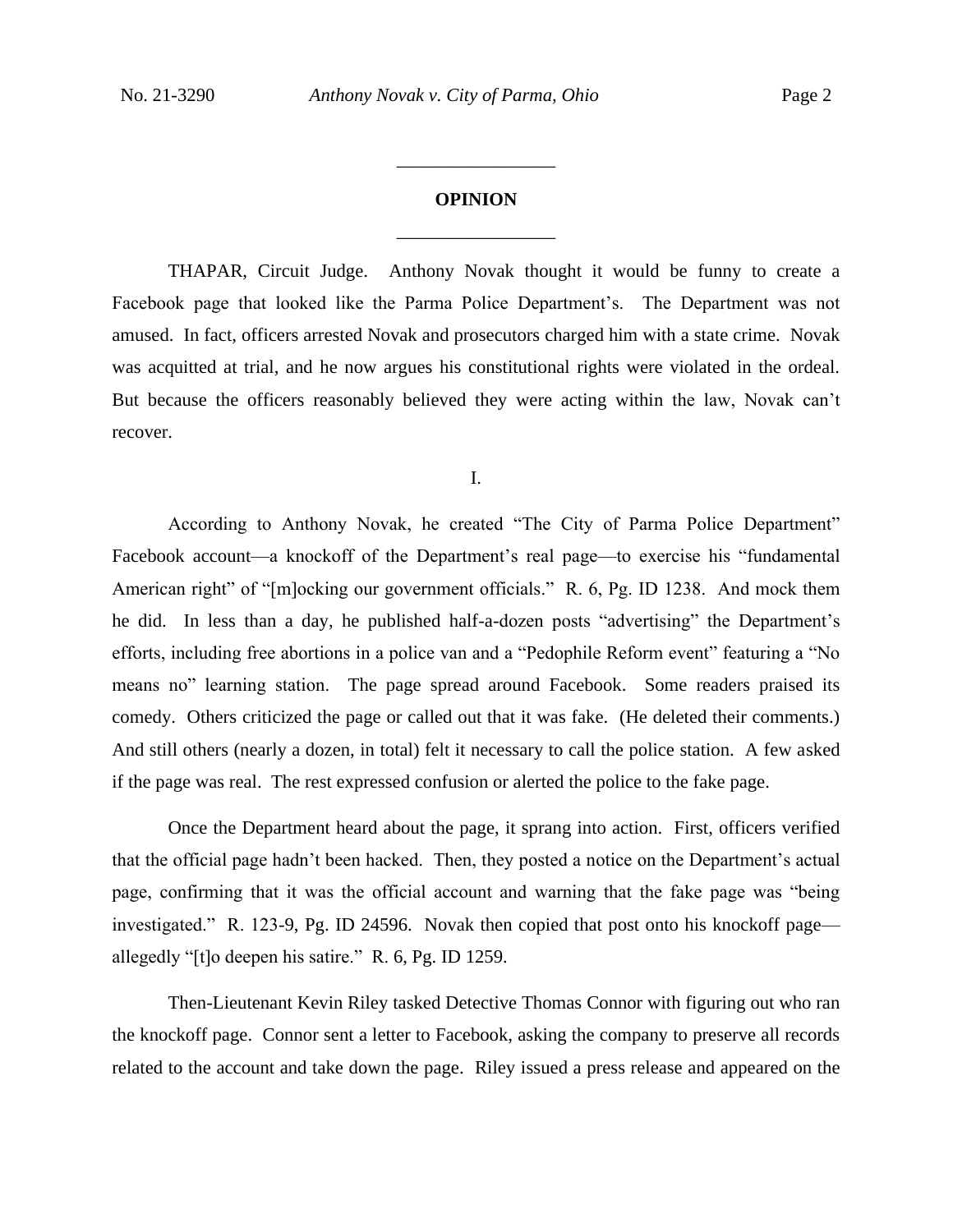# **OPINION** \_\_\_\_\_\_\_\_\_\_\_\_\_\_\_\_\_

\_\_\_\_\_\_\_\_\_\_\_\_\_\_\_\_\_

THAPAR, Circuit Judge. Anthony Novak thought it would be funny to create a Facebook page that looked like the Parma Police Department's. The Department was not amused. In fact, officers arrested Novak and prosecutors charged him with a state crime. Novak was acquitted at trial, and he now argues his constitutional rights were violated in the ordeal. But because the officers reasonably believed they were acting within the law, Novak can't recover.

I.

According to Anthony Novak, he created "The City of Parma Police Department" Facebook account—a knockoff of the Department's real page—to exercise his "fundamental American right" of "[m]ocking our government officials." R. 6, Pg. ID 1238. And mock them he did. In less than a day, he published half-a-dozen posts "advertising" the Department's efforts, including free abortions in a police van and a "Pedophile Reform event" featuring a "No means no" learning station. The page spread around Facebook. Some readers praised its comedy. Others criticized the page or called out that it was fake. (He deleted their comments.) And still others (nearly a dozen, in total) felt it necessary to call the police station. A few asked if the page was real. The rest expressed confusion or alerted the police to the fake page.

Once the Department heard about the page, it sprang into action. First, officers verified that the official page hadn't been hacked. Then, they posted a notice on the Department's actual page, confirming that it was the official account and warning that the fake page was "being investigated." R. 123-9, Pg. ID 24596. Novak then copied that post onto his knockoff page allegedly "[t]o deepen his satire." R. 6, Pg. ID 1259.

Then-Lieutenant Kevin Riley tasked Detective Thomas Connor with figuring out who ran the knockoff page. Connor sent a letter to Facebook, asking the company to preserve all records related to the account and take down the page. Riley issued a press release and appeared on the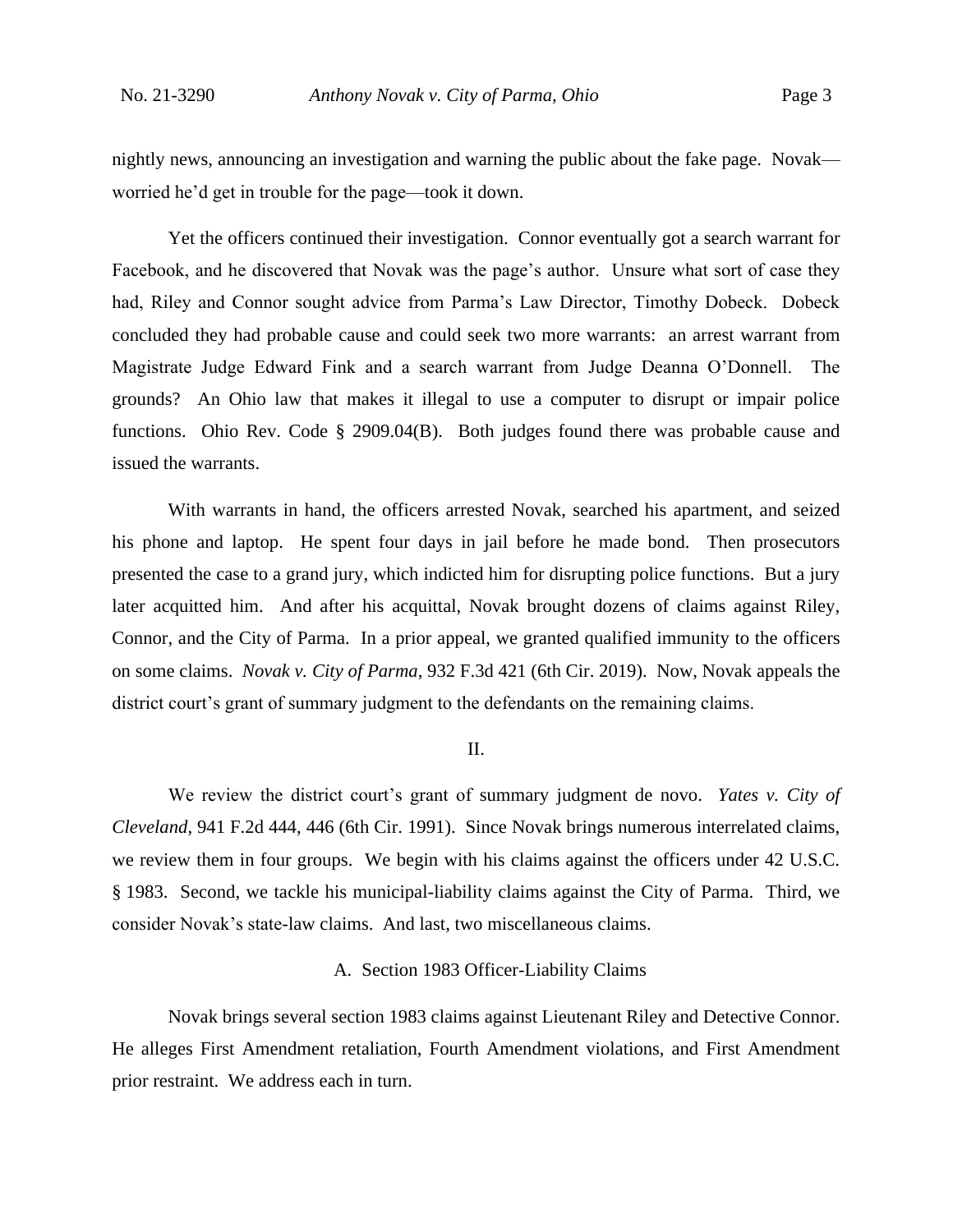nightly news, announcing an investigation and warning the public about the fake page. Novak worried he'd get in trouble for the page—took it down.

Yet the officers continued their investigation. Connor eventually got a search warrant for Facebook, and he discovered that Novak was the page's author. Unsure what sort of case they had, Riley and Connor sought advice from Parma's Law Director, Timothy Dobeck. Dobeck concluded they had probable cause and could seek two more warrants: an arrest warrant from Magistrate Judge Edward Fink and a search warrant from Judge Deanna O'Donnell. The grounds? An Ohio law that makes it illegal to use a computer to disrupt or impair police functions. Ohio Rev. Code § 2909.04(B). Both judges found there was probable cause and issued the warrants.

With warrants in hand, the officers arrested Novak, searched his apartment, and seized his phone and laptop. He spent four days in jail before he made bond. Then prosecutors presented the case to a grand jury, which indicted him for disrupting police functions. But a jury later acquitted him. And after his acquittal, Novak brought dozens of claims against Riley, Connor, and the City of Parma. In a prior appeal, we granted qualified immunity to the officers on some claims. *Novak v. City of Parma*, 932 F.3d 421 (6th Cir. 2019). Now, Novak appeals the district court's grant of summary judgment to the defendants on the remaining claims.

#### II.

We review the district court's grant of summary judgment de novo. *Yates v. City of Cleveland*, 941 F.2d 444, 446 (6th Cir. 1991). Since Novak brings numerous interrelated claims, we review them in four groups. We begin with his claims against the officers under 42 U.S.C. § 1983. Second, we tackle his municipal-liability claims against the City of Parma. Third, we consider Novak's state-law claims. And last, two miscellaneous claims.

#### A. Section 1983 Officer-Liability Claims

Novak brings several section 1983 claims against Lieutenant Riley and Detective Connor. He alleges First Amendment retaliation, Fourth Amendment violations, and First Amendment prior restraint. We address each in turn.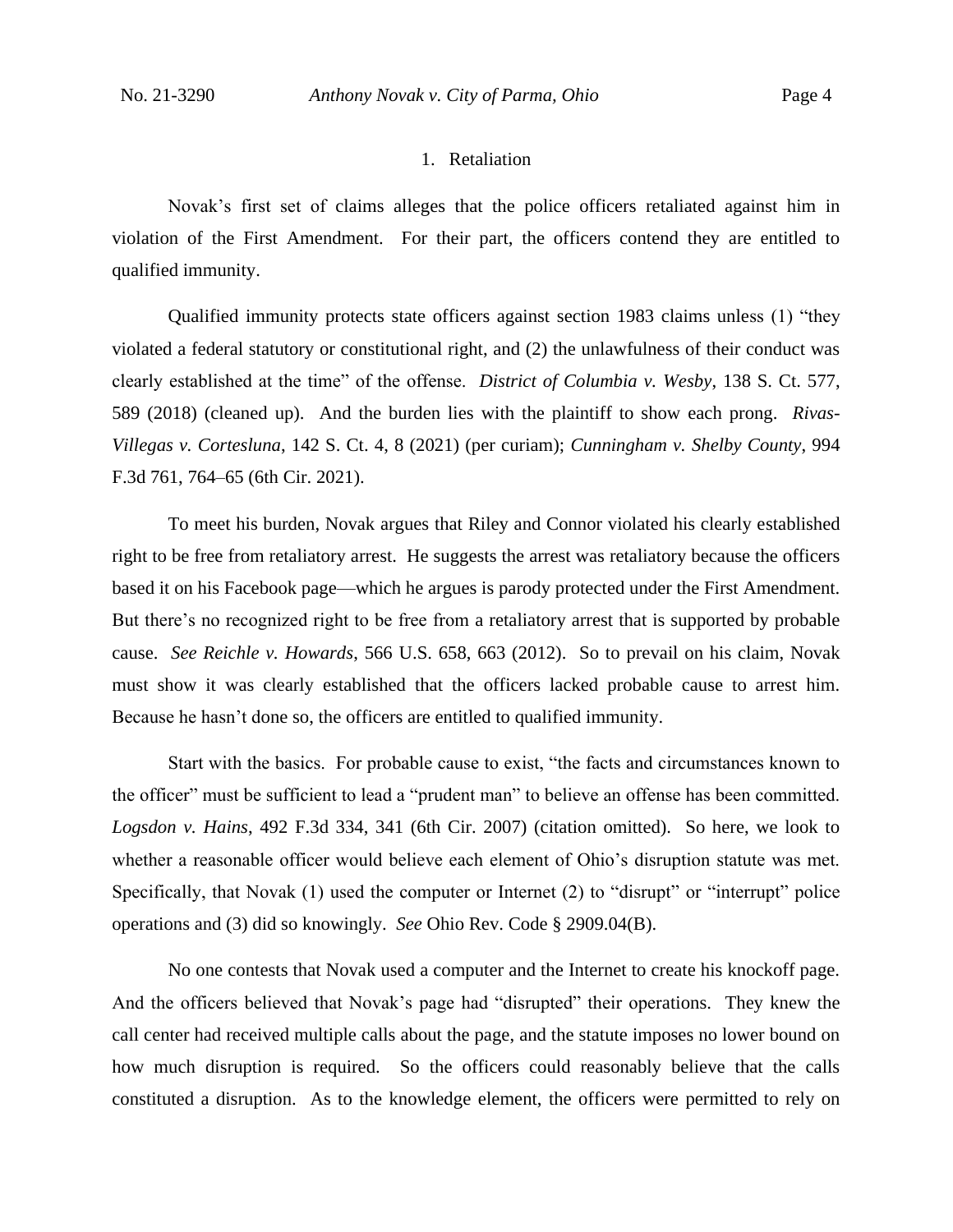#### 1. Retaliation

Novak's first set of claims alleges that the police officers retaliated against him in violation of the First Amendment. For their part, the officers contend they are entitled to qualified immunity.

Qualified immunity protects state officers against section 1983 claims unless (1) "they violated a federal statutory or constitutional right, and (2) the unlawfulness of their conduct was clearly established at the time" of the offense. *District of Columbia v. Wesby*, 138 S. Ct. 577, 589 (2018) (cleaned up). And the burden lies with the plaintiff to show each prong. *Rivas-Villegas v. Cortesluna*, 142 S. Ct. 4, 8 (2021) (per curiam); *Cunningham v. Shelby County*, 994 F.3d 761, 764–65 (6th Cir. 2021).

To meet his burden, Novak argues that Riley and Connor violated his clearly established right to be free from retaliatory arrest. He suggests the arrest was retaliatory because the officers based it on his Facebook page—which he argues is parody protected under the First Amendment. But there's no recognized right to be free from a retaliatory arrest that is supported by probable cause. *See Reichle v. Howards*, 566 U.S. 658, 663 (2012). So to prevail on his claim, Novak must show it was clearly established that the officers lacked probable cause to arrest him. Because he hasn't done so, the officers are entitled to qualified immunity.

Start with the basics. For probable cause to exist, "the facts and circumstances known to the officer" must be sufficient to lead a "prudent man" to believe an offense has been committed. *Logsdon v. Hains*, 492 F.3d 334, 341 (6th Cir. 2007) (citation omitted). So here, we look to whether a reasonable officer would believe each element of Ohio's disruption statute was met. Specifically, that Novak (1) used the computer or Internet (2) to "disrupt" or "interrupt" police operations and (3) did so knowingly. *See* Ohio Rev. Code § 2909.04(B).

No one contests that Novak used a computer and the Internet to create his knockoff page. And the officers believed that Novak's page had "disrupted" their operations. They knew the call center had received multiple calls about the page, and the statute imposes no lower bound on how much disruption is required. So the officers could reasonably believe that the calls constituted a disruption. As to the knowledge element, the officers were permitted to rely on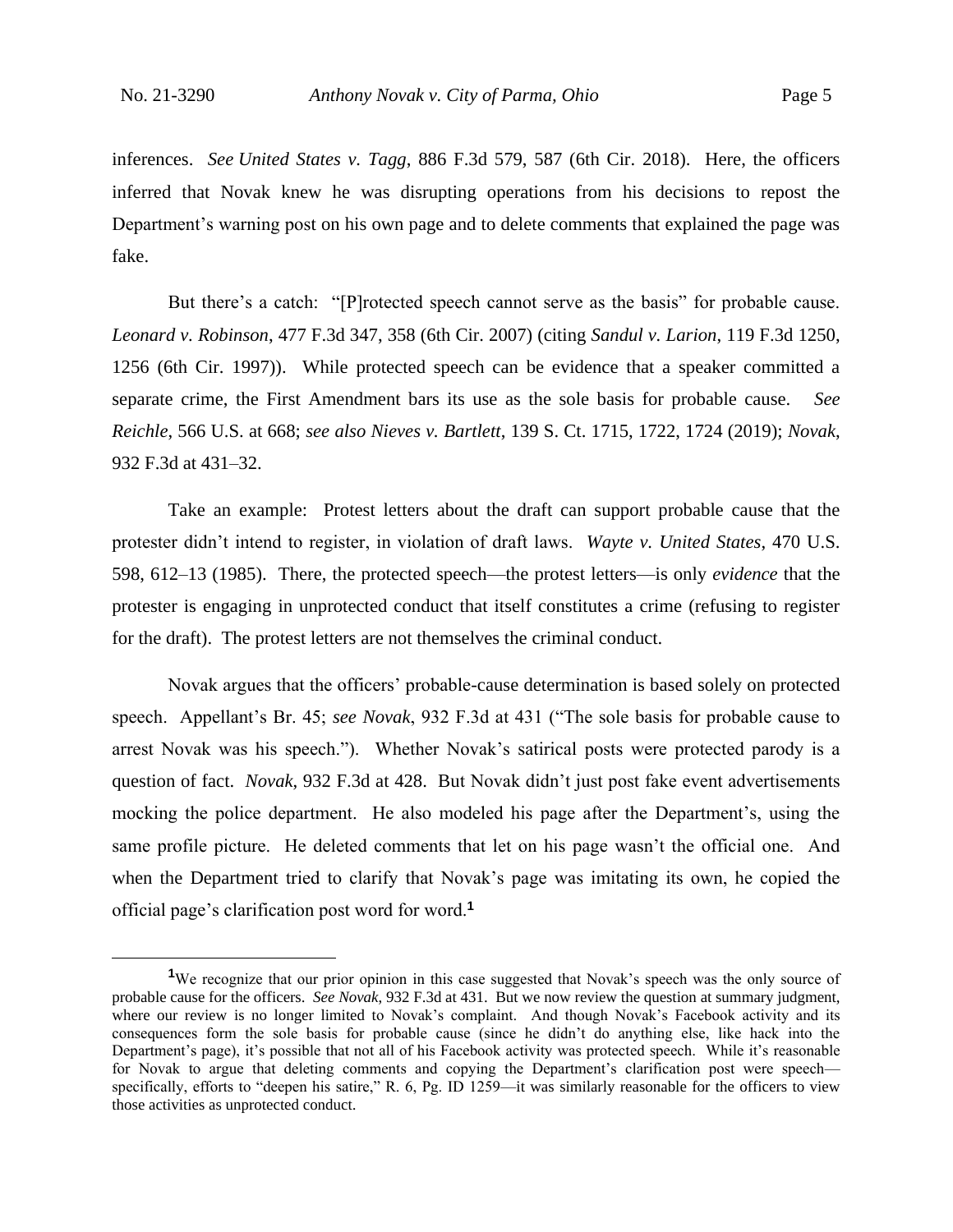inferences. *See United States v. Tagg*, 886 F.3d 579, 587 (6th Cir. 2018). Here, the officers inferred that Novak knew he was disrupting operations from his decisions to repost the Department's warning post on his own page and to delete comments that explained the page was fake.

But there's a catch: "[P]rotected speech cannot serve as the basis" for probable cause. *Leonard v. Robinson*, 477 F.3d 347, 358 (6th Cir. 2007) (citing *Sandul v. Larion*, 119 F.3d 1250, 1256 (6th Cir. 1997)). While protected speech can be evidence that a speaker committed a separate crime, the First Amendment bars its use as the sole basis for probable cause. *See Reichle*, 566 U.S. at 668; *see also Nieves v. Bartlett*, 139 S. Ct. 1715, 1722, 1724 (2019); *Novak*, 932 F.3d at 431–32.

Take an example: Protest letters about the draft can support probable cause that the protester didn't intend to register, in violation of draft laws. *Wayte v. United States*, 470 U.S. 598, 612–13 (1985). There, the protected speech—the protest letters—is only *evidence* that the protester is engaging in unprotected conduct that itself constitutes a crime (refusing to register for the draft). The protest letters are not themselves the criminal conduct.

Novak argues that the officers' probable-cause determination is based solely on protected speech. Appellant's Br. 45; *see Novak*, 932 F.3d at 431 ("The sole basis for probable cause to arrest Novak was his speech."). Whether Novak's satirical posts were protected parody is a question of fact. *Novak*, 932 F.3d at 428. But Novak didn't just post fake event advertisements mocking the police department. He also modeled his page after the Department's, using the same profile picture. He deleted comments that let on his page wasn't the official one. And when the Department tried to clarify that Novak's page was imitating its own, he copied the official page's clarification post word for word.**<sup>1</sup>**

<sup>&</sup>lt;sup>1</sup>We recognize that our prior opinion in this case suggested that Novak's speech was the only source of probable cause for the officers. *See Novak*, 932 F.3d at 431. But we now review the question at summary judgment, where our review is no longer limited to Novak's complaint. And though Novak's Facebook activity and its consequences form the sole basis for probable cause (since he didn't do anything else, like hack into the Department's page), it's possible that not all of his Facebook activity was protected speech. While it's reasonable for Novak to argue that deleting comments and copying the Department's clarification post were speechspecifically, efforts to "deepen his satire," R. 6, Pg. ID 1259—it was similarly reasonable for the officers to view those activities as unprotected conduct.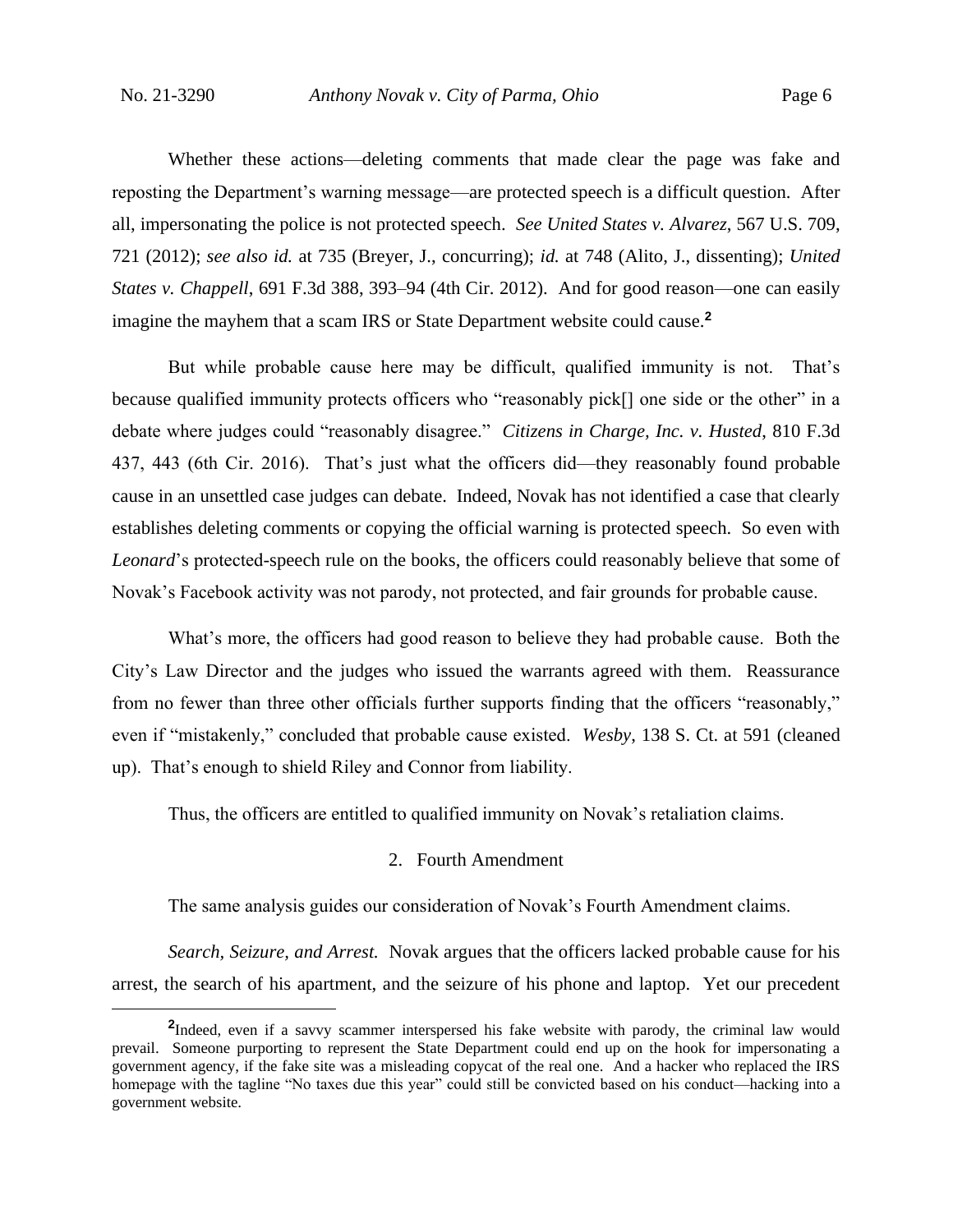Whether these actions—deleting comments that made clear the page was fake and reposting the Department's warning message—are protected speech is a difficult question. After all, impersonating the police is not protected speech. *See United States v. Alvarez*, 567 U.S. 709, 721 (2012); *see also id.* at 735 (Breyer, J., concurring); *id.* at 748 (Alito, J., dissenting); *United States v. Chappell*, 691 F.3d 388, 393–94 (4th Cir. 2012). And for good reason—one can easily imagine the mayhem that a scam IRS or State Department website could cause.**<sup>2</sup>**

But while probable cause here may be difficult, qualified immunity is not. That's because qualified immunity protects officers who "reasonably pick<sup>[]</sup> one side or the other" in a debate where judges could "reasonably disagree." *Citizens in Charge, Inc. v. Husted*, 810 F.3d 437, 443 (6th Cir. 2016). That's just what the officers did—they reasonably found probable cause in an unsettled case judges can debate. Indeed, Novak has not identified a case that clearly establishes deleting comments or copying the official warning is protected speech. So even with *Leonard*'s protected-speech rule on the books, the officers could reasonably believe that some of Novak's Facebook activity was not parody, not protected, and fair grounds for probable cause.

What's more, the officers had good reason to believe they had probable cause. Both the City's Law Director and the judges who issued the warrants agreed with them. Reassurance from no fewer than three other officials further supports finding that the officers "reasonably," even if "mistakenly," concluded that probable cause existed. *Wesby*, 138 S. Ct. at 591 (cleaned up). That's enough to shield Riley and Connor from liability.

Thus, the officers are entitled to qualified immunity on Novak's retaliation claims.

## 2. Fourth Amendment

The same analysis guides our consideration of Novak's Fourth Amendment claims.

*Search, Seizure, and Arrest.* Novak argues that the officers lacked probable cause for his arrest, the search of his apartment, and the seizure of his phone and laptop. Yet our precedent

<sup>&</sup>lt;sup>2</sup>Indeed, even if a savvy scammer interspersed his fake website with parody, the criminal law would prevail. Someone purporting to represent the State Department could end up on the hook for impersonating a government agency, if the fake site was a misleading copycat of the real one. And a hacker who replaced the IRS homepage with the tagline "No taxes due this year" could still be convicted based on his conduct—hacking into a government website.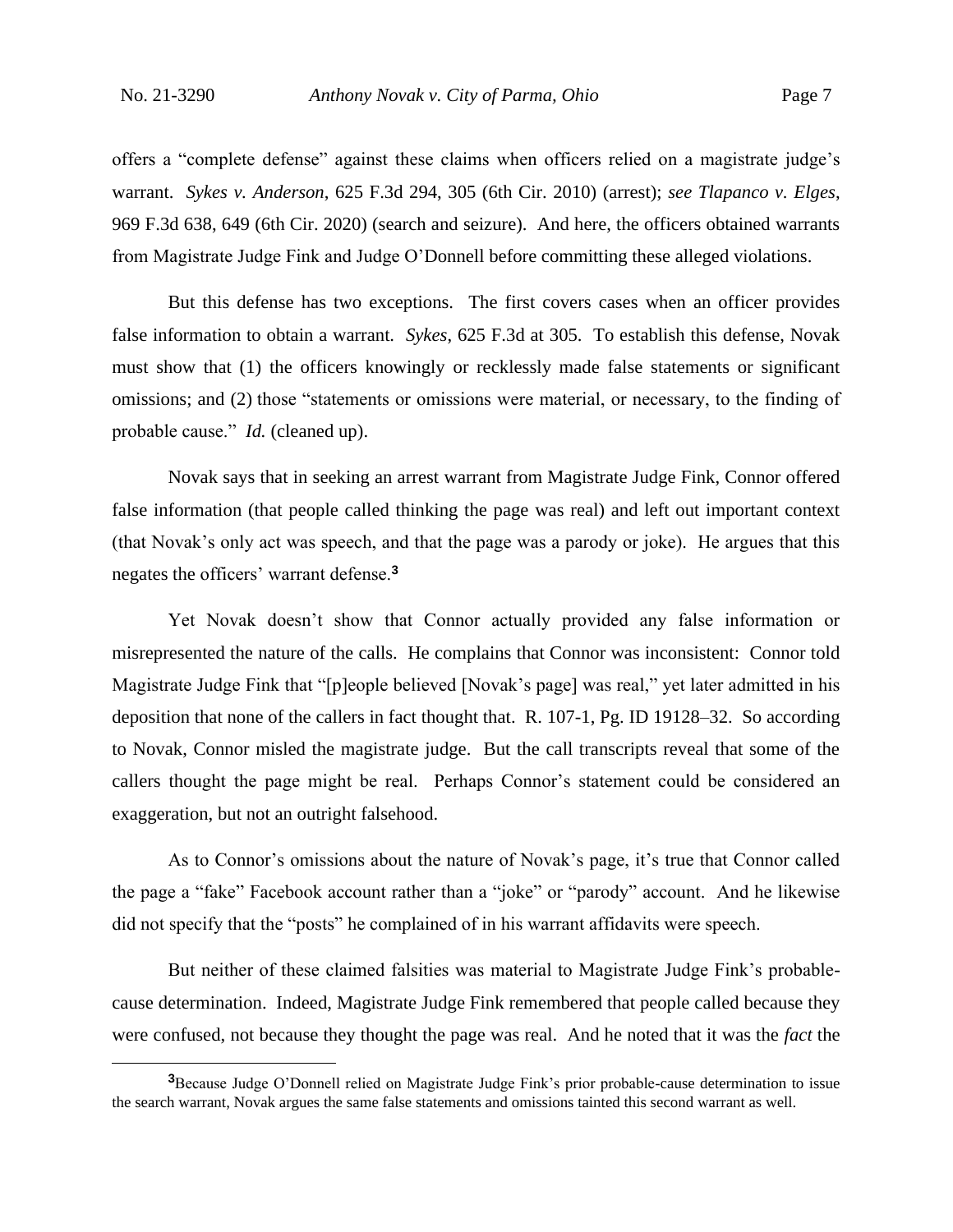offers a "complete defense" against these claims when officers relied on a magistrate judge's warrant. *Sykes v. Anderson*, 625 F.3d 294, 305 (6th Cir. 2010) (arrest); *see Tlapanco v. Elges*, 969 F.3d 638, 649 (6th Cir. 2020) (search and seizure). And here, the officers obtained warrants from Magistrate Judge Fink and Judge O'Donnell before committing these alleged violations.

But this defense has two exceptions. The first covers cases when an officer provides false information to obtain a warrant. *Sykes*, 625 F.3d at 305. To establish this defense, Novak must show that (1) the officers knowingly or recklessly made false statements or significant omissions; and (2) those "statements or omissions were material, or necessary, to the finding of probable cause." *Id.* (cleaned up).

Novak says that in seeking an arrest warrant from Magistrate Judge Fink, Connor offered false information (that people called thinking the page was real) and left out important context (that Novak's only act was speech, and that the page was a parody or joke). He argues that this negates the officers' warrant defense.**<sup>3</sup>**

Yet Novak doesn't show that Connor actually provided any false information or misrepresented the nature of the calls. He complains that Connor was inconsistent: Connor told Magistrate Judge Fink that "[p]eople believed [Novak's page] was real," yet later admitted in his deposition that none of the callers in fact thought that. R. 107-1, Pg. ID 19128–32. So according to Novak, Connor misled the magistrate judge. But the call transcripts reveal that some of the callers thought the page might be real. Perhaps Connor's statement could be considered an exaggeration, but not an outright falsehood.

As to Connor's omissions about the nature of Novak's page, it's true that Connor called the page a "fake" Facebook account rather than a "joke" or "parody" account. And he likewise did not specify that the "posts" he complained of in his warrant affidavits were speech.

But neither of these claimed falsities was material to Magistrate Judge Fink's probablecause determination. Indeed, Magistrate Judge Fink remembered that people called because they were confused, not because they thought the page was real. And he noted that it was the *fact* the

**<sup>3</sup>**Because Judge O'Donnell relied on Magistrate Judge Fink's prior probable-cause determination to issue the search warrant, Novak argues the same false statements and omissions tainted this second warrant as well.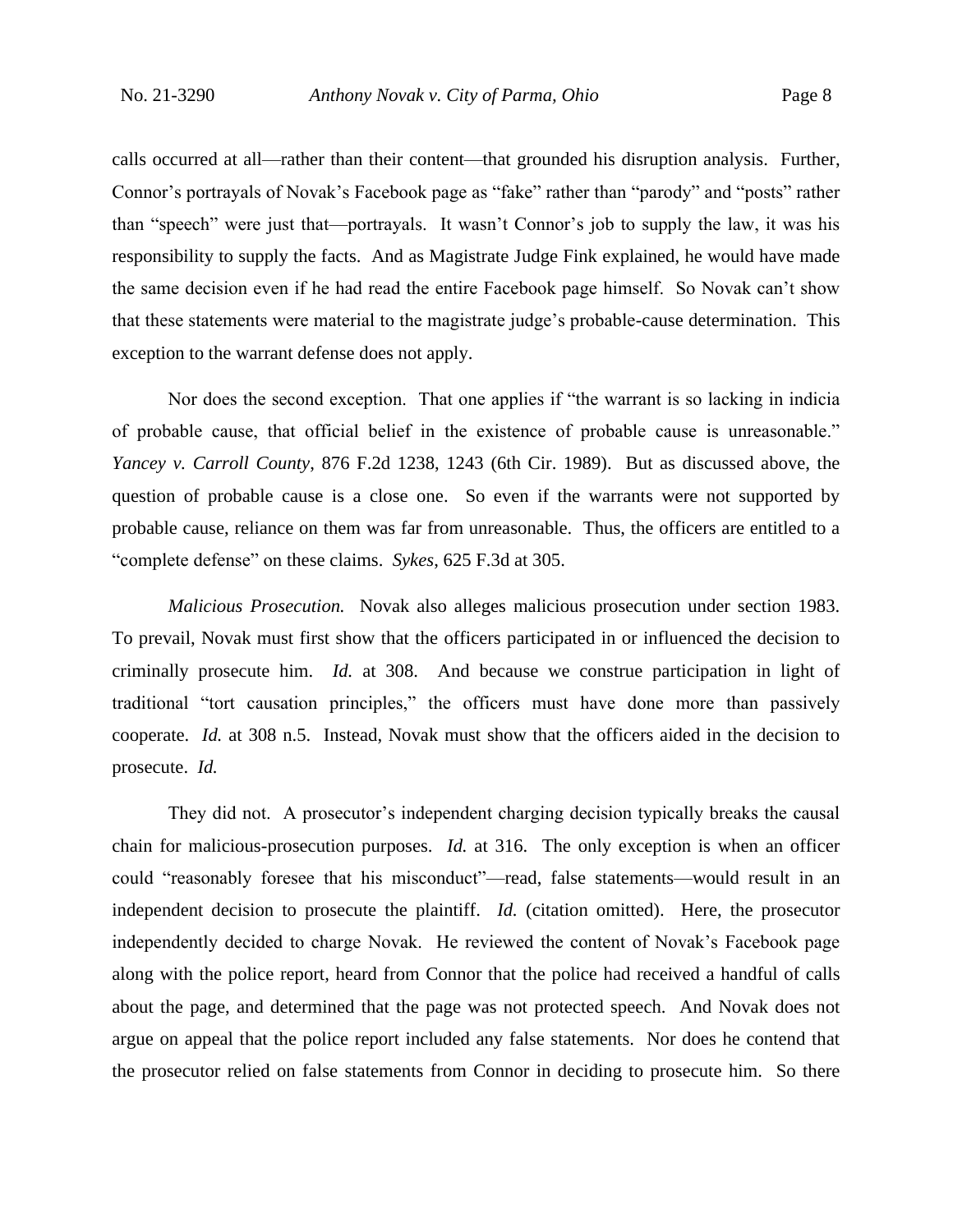calls occurred at all—rather than their content—that grounded his disruption analysis. Further, Connor's portrayals of Novak's Facebook page as "fake" rather than "parody" and "posts" rather than "speech" were just that—portrayals. It wasn't Connor's job to supply the law, it was his responsibility to supply the facts. And as Magistrate Judge Fink explained, he would have made the same decision even if he had read the entire Facebook page himself. So Novak can't show that these statements were material to the magistrate judge's probable-cause determination. This exception to the warrant defense does not apply.

Nor does the second exception. That one applies if "the warrant is so lacking in indicia of probable cause, that official belief in the existence of probable cause is unreasonable." *Yancey v. Carroll County*, 876 F.2d 1238, 1243 (6th Cir. 1989). But as discussed above, the question of probable cause is a close one. So even if the warrants were not supported by probable cause, reliance on them was far from unreasonable. Thus, the officers are entitled to a "complete defense" on these claims. *Sykes*, 625 F.3d at 305.

*Malicious Prosecution.* Novak also alleges malicious prosecution under section 1983. To prevail, Novak must first show that the officers participated in or influenced the decision to criminally prosecute him. *Id.* at 308. And because we construe participation in light of traditional "tort causation principles," the officers must have done more than passively cooperate. *Id.* at 308 n.5. Instead, Novak must show that the officers aided in the decision to prosecute. *Id.*

They did not. A prosecutor's independent charging decision typically breaks the causal chain for malicious-prosecution purposes. *Id.* at 316. The only exception is when an officer could "reasonably foresee that his misconduct"—read, false statements—would result in an independent decision to prosecute the plaintiff. *Id.* (citation omitted).Here, the prosecutor independently decided to charge Novak. He reviewed the content of Novak's Facebook page along with the police report, heard from Connor that the police had received a handful of calls about the page, and determined that the page was not protected speech. And Novak does not argue on appeal that the police report included any false statements. Nor does he contend that the prosecutor relied on false statements from Connor in deciding to prosecute him. So there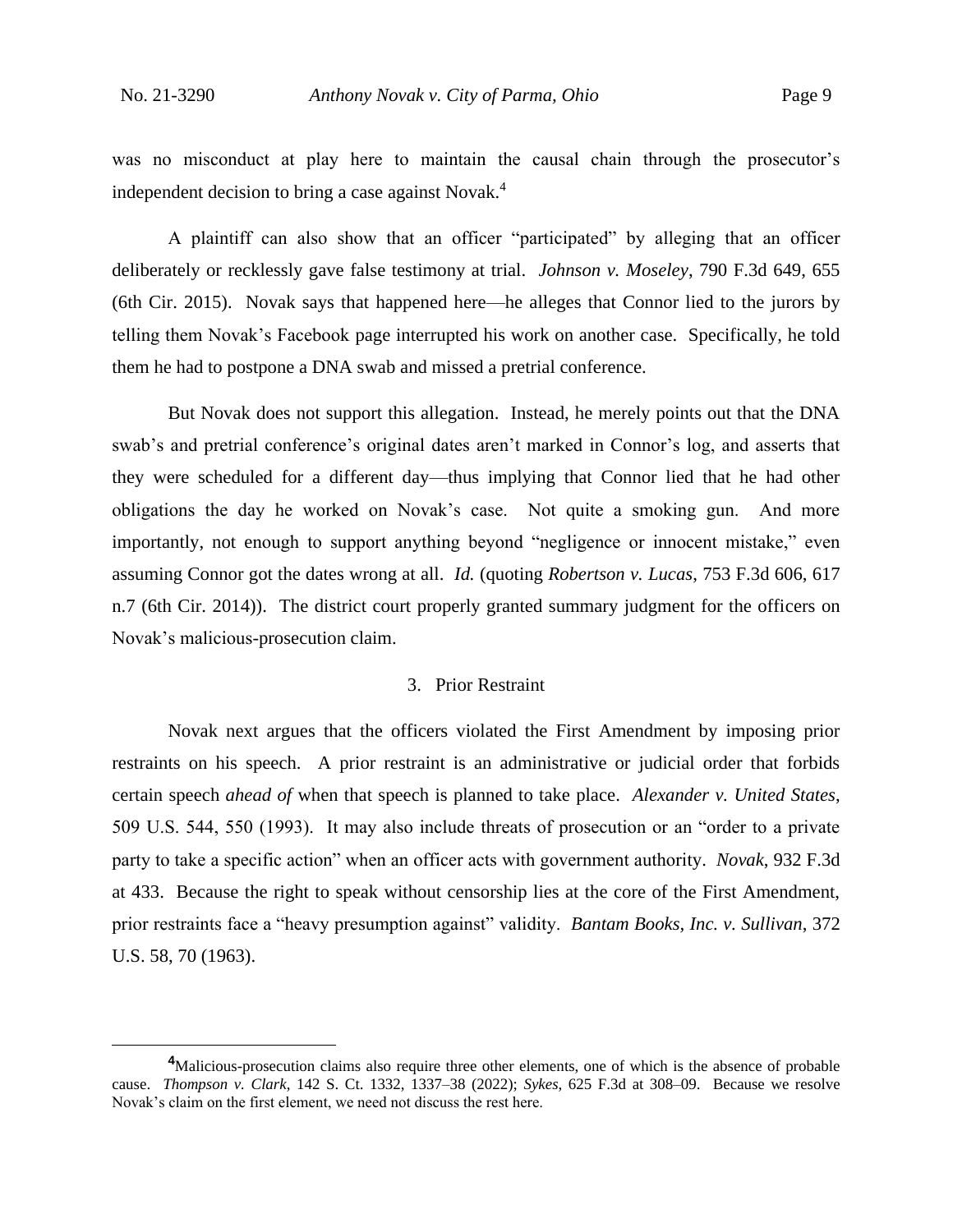was no misconduct at play here to maintain the causal chain through the prosecutor's independent decision to bring a case against Novak.<sup>4</sup>

A plaintiff can also show that an officer "participated" by alleging that an officer deliberately or recklessly gave false testimony at trial. *Johnson v. Moseley*, 790 F.3d 649, 655 (6th Cir. 2015). Novak says that happened here—he alleges that Connor lied to the jurors by telling them Novak's Facebook page interrupted his work on another case. Specifically, he told them he had to postpone a DNA swab and missed a pretrial conference.

But Novak does not support this allegation. Instead, he merely points out that the DNA swab's and pretrial conference's original dates aren't marked in Connor's log, and asserts that they were scheduled for a different day—thus implying that Connor lied that he had other obligations the day he worked on Novak's case. Not quite a smoking gun. And more importantly, not enough to support anything beyond "negligence or innocent mistake," even assuming Connor got the dates wrong at all. *Id.* (quoting *Robertson v. Lucas*, 753 F.3d 606, 617 n.7 (6th Cir. 2014)). The district court properly granted summary judgment for the officers on Novak's malicious-prosecution claim.

#### 3. Prior Restraint

Novak next argues that the officers violated the First Amendment by imposing prior restraints on his speech. A prior restraint is an administrative or judicial order that forbids certain speech *ahead of* when that speech is planned to take place. *Alexander v. United States*, 509 U.S. 544, 550 (1993). It may also include threats of prosecution or an "order to a private party to take a specific action" when an officer acts with government authority. *Novak*, 932 F.3d at 433. Because the right to speak without censorship lies at the core of the First Amendment, prior restraints face a "heavy presumption against" validity. *Bantam Books, Inc. v. Sullivan*, 372 U.S. 58, 70 (1963).

**<sup>4</sup>**Malicious-prosecution claims also require three other elements, one of which is the absence of probable cause. *Thompson v. Clark*, 142 S. Ct. 1332, 1337–38 (2022); *Sykes*, 625 F.3d at 308–09. Because we resolve Novak's claim on the first element, we need not discuss the rest here.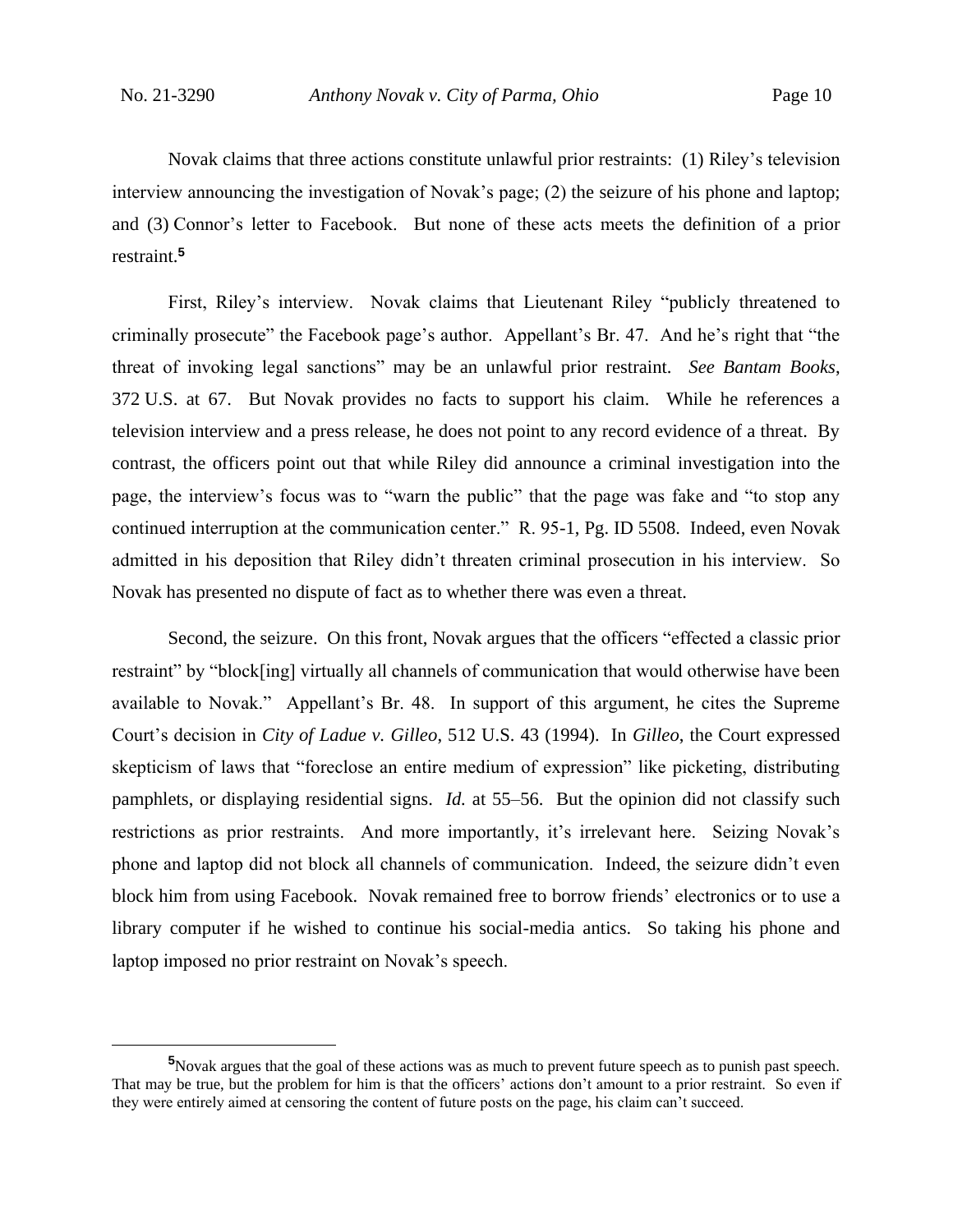Novak claims that three actions constitute unlawful prior restraints: (1) Riley's television interview announcing the investigation of Novak's page; (2) the seizure of his phone and laptop; and (3) Connor's letter to Facebook. But none of these acts meets the definition of a prior restraint.**<sup>5</sup>**

First, Riley's interview. Novak claims that Lieutenant Riley "publicly threatened to criminally prosecute" the Facebook page's author. Appellant's Br. 47. And he's right that "the threat of invoking legal sanctions" may be an unlawful prior restraint. *See Bantam Books*, 372 U.S. at 67. But Novak provides no facts to support his claim. While he references a television interview and a press release, he does not point to any record evidence of a threat. By contrast, the officers point out that while Riley did announce a criminal investigation into the page, the interview's focus was to "warn the public" that the page was fake and "to stop any continued interruption at the communication center." R. 95-1, Pg. ID 5508. Indeed, even Novak admitted in his deposition that Riley didn't threaten criminal prosecution in his interview. So Novak has presented no dispute of fact as to whether there was even a threat.

Second, the seizure. On this front, Novak argues that the officers "effected a classic prior restraint" by "block[ing] virtually all channels of communication that would otherwise have been available to Novak." Appellant's Br. 48. In support of this argument, he cites the Supreme Court's decision in *City of Ladue v. Gilleo*, 512 U.S. 43 (1994). In *Gilleo*, the Court expressed skepticism of laws that "foreclose an entire medium of expression" like picketing, distributing pamphlets, or displaying residential signs. *Id.* at 55–56. But the opinion did not classify such restrictions as prior restraints. And more importantly, it's irrelevant here. Seizing Novak's phone and laptop did not block all channels of communication. Indeed, the seizure didn't even block him from using Facebook. Novak remained free to borrow friends' electronics or to use a library computer if he wished to continue his social-media antics. So taking his phone and laptop imposed no prior restraint on Novak's speech.

**<sup>5</sup>**Novak argues that the goal of these actions was as much to prevent future speech as to punish past speech. That may be true, but the problem for him is that the officers' actions don't amount to a prior restraint. So even if they were entirely aimed at censoring the content of future posts on the page, his claim can't succeed.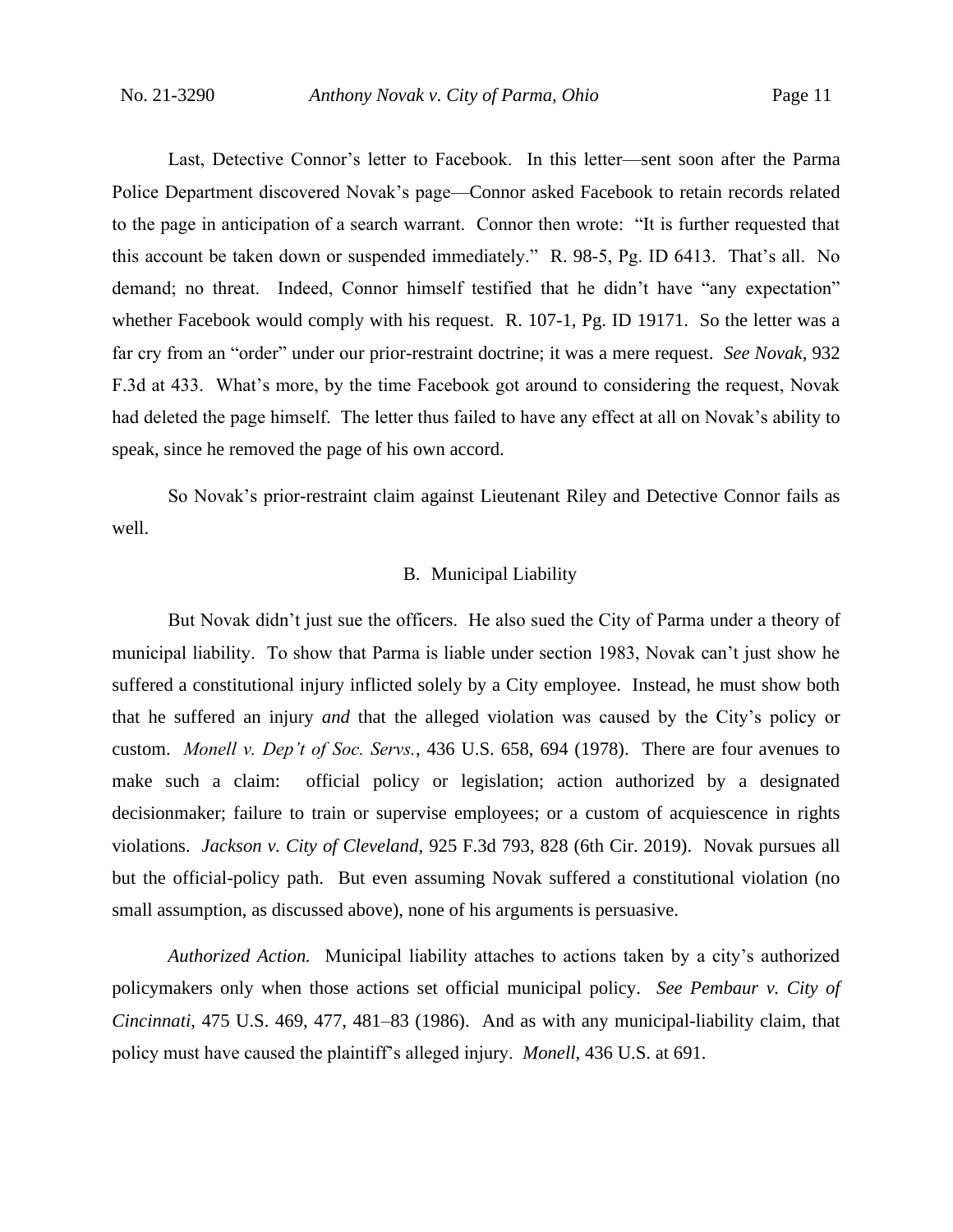Last, Detective Connor's letter to Facebook. In this letter—sent soon after the Parma Police Department discovered Novak's page—Connor asked Facebook to retain records related to the page in anticipation of a search warrant. Connor then wrote: "It is further requested that this account be taken down or suspended immediately." R. 98-5, Pg. ID 6413. That's all. No demand; no threat. Indeed, Connor himself testified that he didn't have "any expectation" whether Facebook would comply with his request. R. 107-1, Pg. ID 19171. So the letter was a far cry from an "order" under our prior-restraint doctrine; it was a mere request. *See Novak*, 932 F.3d at 433. What's more, by the time Facebook got around to considering the request, Novak had deleted the page himself. The letter thus failed to have any effect at all on Novak's ability to speak, since he removed the page of his own accord.

So Novak's prior-restraint claim against Lieutenant Riley and Detective Connor fails as well.

#### B. Municipal Liability

But Novak didn't just sue the officers. He also sued the City of Parma under a theory of municipal liability. To show that Parma is liable under section 1983, Novak can't just show he suffered a constitutional injury inflicted solely by a City employee. Instead, he must show both that he suffered an injury *and* that the alleged violation was caused by the City's policy or custom. *Monell v. Dep't of Soc. Servs.*, 436 U.S. 658, 694 (1978). There are four avenues to make such a claim: official policy or legislation; action authorized by a designated decisionmaker; failure to train or supervise employees; or a custom of acquiescence in rights violations. *Jackson v. City of Cleveland*, 925 F.3d 793, 828 (6th Cir. 2019). Novak pursues all but the official-policy path. But even assuming Novak suffered a constitutional violation (no small assumption, as discussed above), none of his arguments is persuasive.

*Authorized Action.* Municipal liability attaches to actions taken by a city's authorized policymakers only when those actions set official municipal policy. *See Pembaur v. City of Cincinnati*, 475 U.S. 469, 477, 481–83 (1986). And as with any municipal-liability claim, that policy must have caused the plaintiff's alleged injury. *Monell*, 436 U.S. at 691.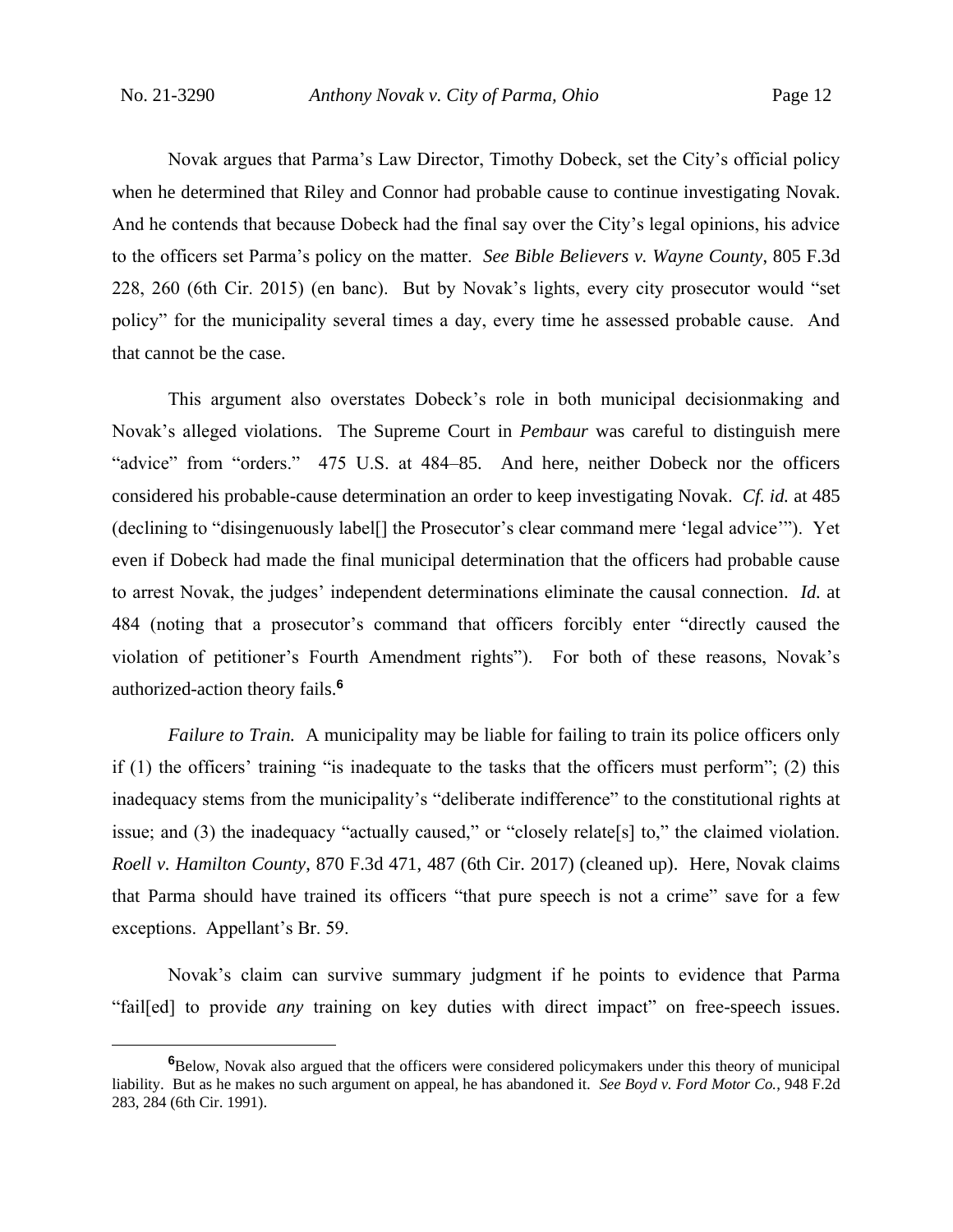Novak argues that Parma's Law Director, Timothy Dobeck, set the City's official policy when he determined that Riley and Connor had probable cause to continue investigating Novak. And he contends that because Dobeck had the final say over the City's legal opinions, his advice to the officers set Parma's policy on the matter. *See Bible Believers v. Wayne County*, 805 F.3d 228, 260 (6th Cir. 2015) (en banc). But by Novak's lights, every city prosecutor would "set policy" for the municipality several times a day, every time he assessed probable cause. And that cannot be the case.

This argument also overstates Dobeck's role in both municipal decisionmaking and Novak's alleged violations. The Supreme Court in *Pembaur* was careful to distinguish mere "advice" from "orders." 475 U.S. at 484–85. And here, neither Dobeck nor the officers considered his probable-cause determination an order to keep investigating Novak. *Cf. id.* at 485 (declining to "disingenuously label[] the Prosecutor's clear command mere 'legal advice'"). Yet even if Dobeck had made the final municipal determination that the officers had probable cause to arrest Novak, the judges' independent determinations eliminate the causal connection. *Id.* at 484 (noting that a prosecutor's command that officers forcibly enter "directly caused the violation of petitioner's Fourth Amendment rights"). For both of these reasons, Novak's authorized-action theory fails.**<sup>6</sup>**

*Failure to Train.* A municipality may be liable for failing to train its police officers only if (1) the officers' training "is inadequate to the tasks that the officers must perform"; (2) this inadequacy stems from the municipality's "deliberate indifference" to the constitutional rights at issue; and (3) the inadequacy "actually caused," or "closely relate[s] to," the claimed violation. *Roell v. Hamilton County*, 870 F.3d 471, 487 (6th Cir. 2017) (cleaned up). Here, Novak claims that Parma should have trained its officers "that pure speech is not a crime" save for a few exceptions. Appellant's Br. 59.

Novak's claim can survive summary judgment if he points to evidence that Parma "fail[ed] to provide *any* training on key duties with direct impact" on free-speech issues.

**<sup>6</sup>**Below, Novak also argued that the officers were considered policymakers under this theory of municipal liability. But as he makes no such argument on appeal, he has abandoned it. *See Boyd v. Ford Motor Co.*, 948 F.2d 283, 284 (6th Cir. 1991).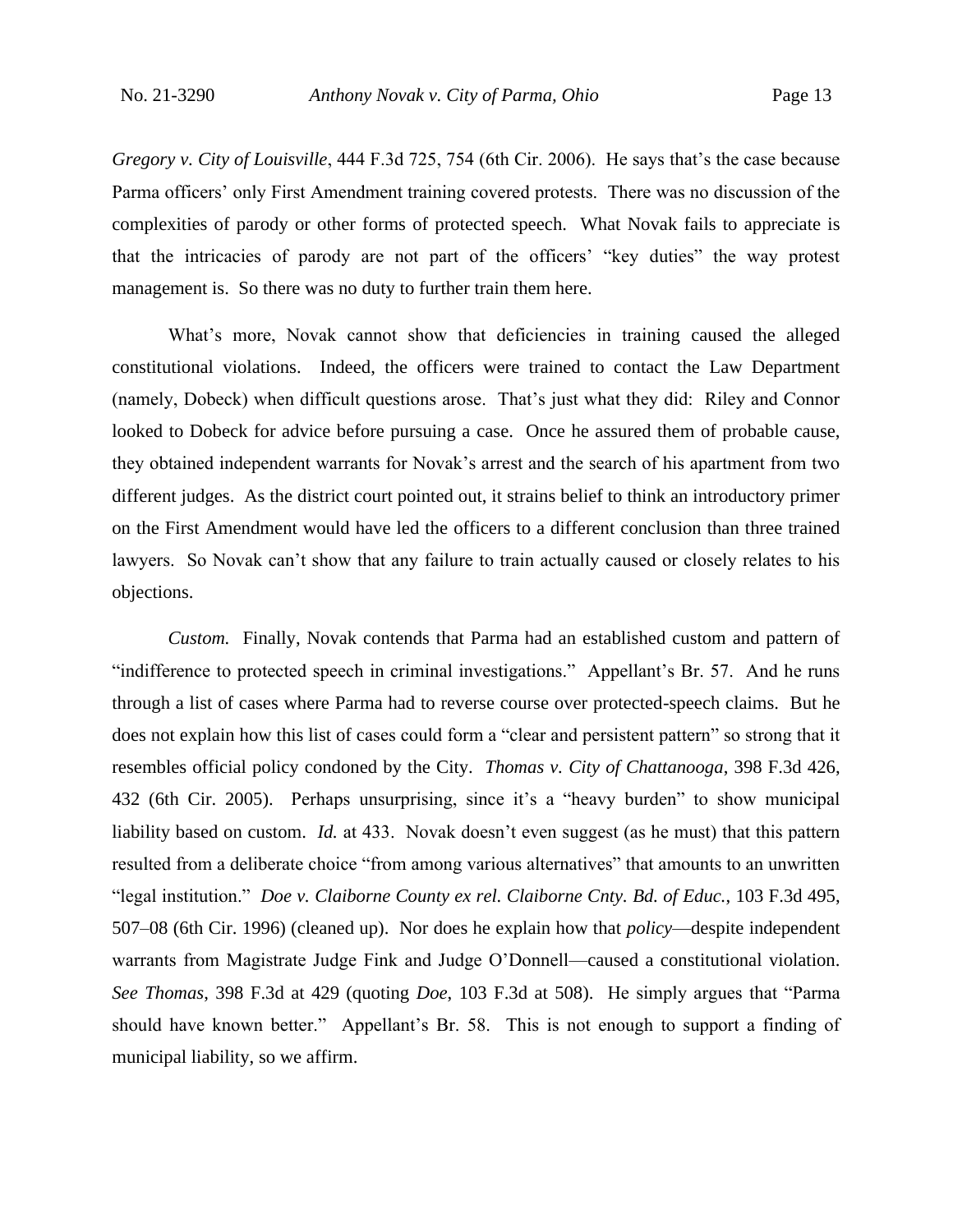*Gregory v. City of Louisville*, 444 F.3d 725, 754 (6th Cir. 2006). He says that's the case because Parma officers' only First Amendment training covered protests. There was no discussion of the complexities of parody or other forms of protected speech. What Novak fails to appreciate is that the intricacies of parody are not part of the officers' "key duties" the way protest management is. So there was no duty to further train them here.

What's more, Novak cannot show that deficiencies in training caused the alleged constitutional violations. Indeed, the officers were trained to contact the Law Department (namely, Dobeck) when difficult questions arose. That's just what they did: Riley and Connor looked to Dobeck for advice before pursuing a case. Once he assured them of probable cause, they obtained independent warrants for Novak's arrest and the search of his apartment from two different judges. As the district court pointed out, it strains belief to think an introductory primer on the First Amendment would have led the officers to a different conclusion than three trained lawyers. So Novak can't show that any failure to train actually caused or closely relates to his objections.

*Custom.* Finally, Novak contends that Parma had an established custom and pattern of "indifference to protected speech in criminal investigations." Appellant's Br. 57. And he runs through a list of cases where Parma had to reverse course over protected-speech claims. But he does not explain how this list of cases could form a "clear and persistent pattern" so strong that it resembles official policy condoned by the City. *Thomas v. City of Chattanooga*, 398 F.3d 426, 432 (6th Cir. 2005). Perhaps unsurprising, since it's a "heavy burden" to show municipal liability based on custom. *Id.* at 433. Novak doesn't even suggest (as he must) that this pattern resulted from a deliberate choice "from among various alternatives" that amounts to an unwritten "legal institution." *Doe v. Claiborne County ex rel. Claiborne Cnty. Bd. of Educ.*, 103 F.3d 495, 507–08 (6th Cir. 1996) (cleaned up). Nor does he explain how that *policy*—despite independent warrants from Magistrate Judge Fink and Judge O'Donnell—caused a constitutional violation. *See Thomas*, 398 F.3d at 429 (quoting *Doe*, 103 F.3d at 508).He simply argues that "Parma should have known better." Appellant's Br. 58. This is not enough to support a finding of municipal liability, so we affirm.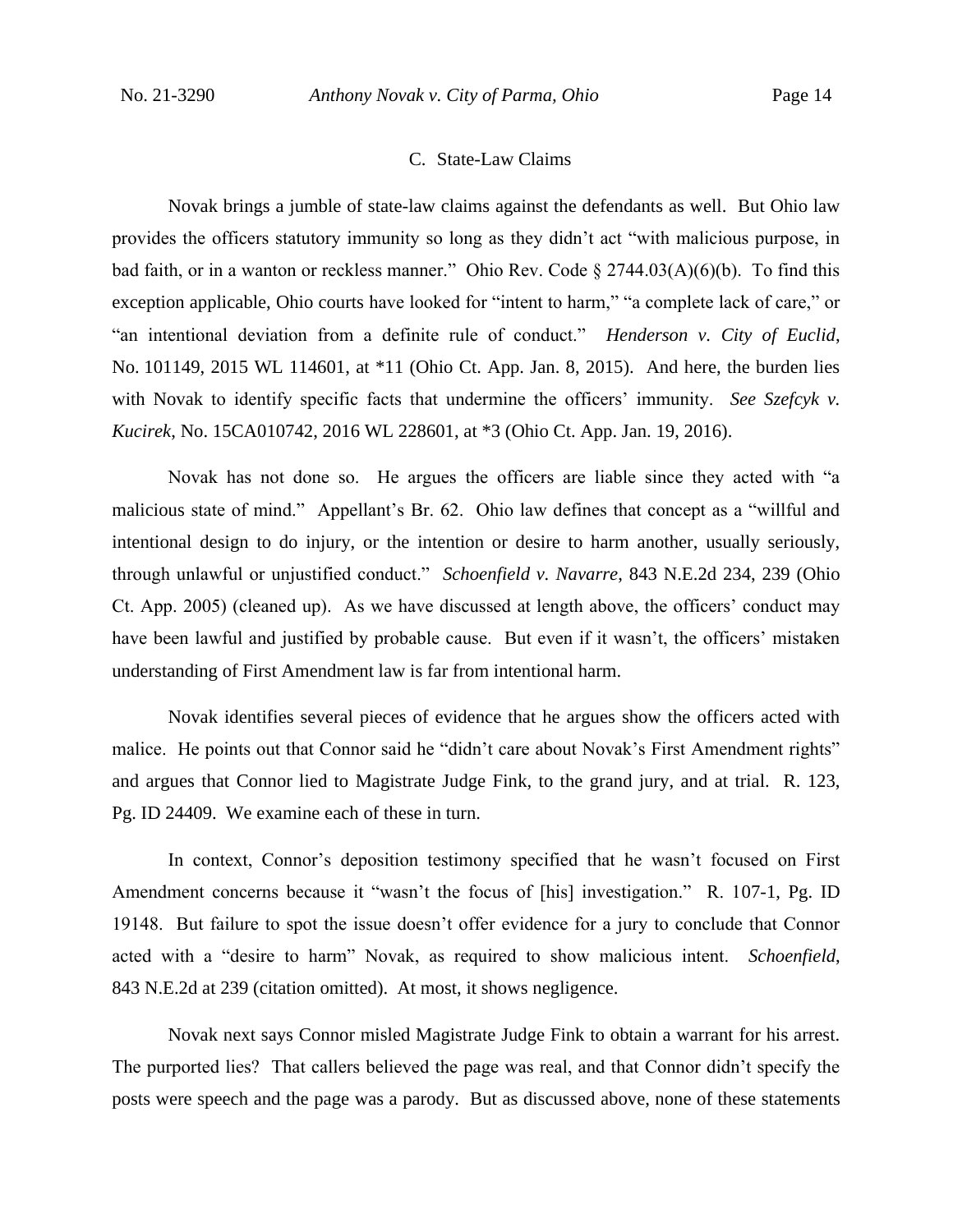#### C. State-Law Claims

Novak brings a jumble of state-law claims against the defendants as well. But Ohio law provides the officers statutory immunity so long as they didn't act "with malicious purpose, in bad faith, or in a wanton or reckless manner." Ohio Rev. Code  $\S 2744.03(A)(6)(b)$ . To find this exception applicable, Ohio courts have looked for "intent to harm," "a complete lack of care," or "an intentional deviation from a definite rule of conduct." *Henderson v. City of Euclid*, No. 101149, 2015 WL 114601, at \*11 (Ohio Ct. App. Jan. 8, 2015). And here, the burden lies with Novak to identify specific facts that undermine the officers' immunity. *See Szefcyk v. Kucirek*, No. 15CA010742, 2016 WL 228601, at \*3 (Ohio Ct. App. Jan. 19, 2016).

Novak has not done so. He argues the officers are liable since they acted with "a malicious state of mind." Appellant's Br. 62. Ohio law defines that concept as a "willful and intentional design to do injury, or the intention or desire to harm another, usually seriously, through unlawful or unjustified conduct." *Schoenfield v. Navarre*, 843 N.E.2d 234, 239 (Ohio Ct. App. 2005) (cleaned up). As we have discussed at length above, the officers' conduct may have been lawful and justified by probable cause. But even if it wasn't, the officers' mistaken understanding of First Amendment law is far from intentional harm.

Novak identifies several pieces of evidence that he argues show the officers acted with malice. He points out that Connor said he "didn't care about Novak's First Amendment rights" and argues that Connor lied to Magistrate Judge Fink, to the grand jury, and at trial. R. 123, Pg. ID 24409. We examine each of these in turn.

In context, Connor's deposition testimony specified that he wasn't focused on First Amendment concerns because it "wasn't the focus of [his] investigation." R. 107-1, Pg. ID 19148. But failure to spot the issue doesn't offer evidence for a jury to conclude that Connor acted with a "desire to harm" Novak, as required to show malicious intent. *Schoenfield*, 843 N.E.2d at 239 (citation omitted). At most, it shows negligence.

Novak next says Connor misled Magistrate Judge Fink to obtain a warrant for his arrest. The purported lies? That callers believed the page was real, and that Connor didn't specify the posts were speech and the page was a parody. But as discussed above, none of these statements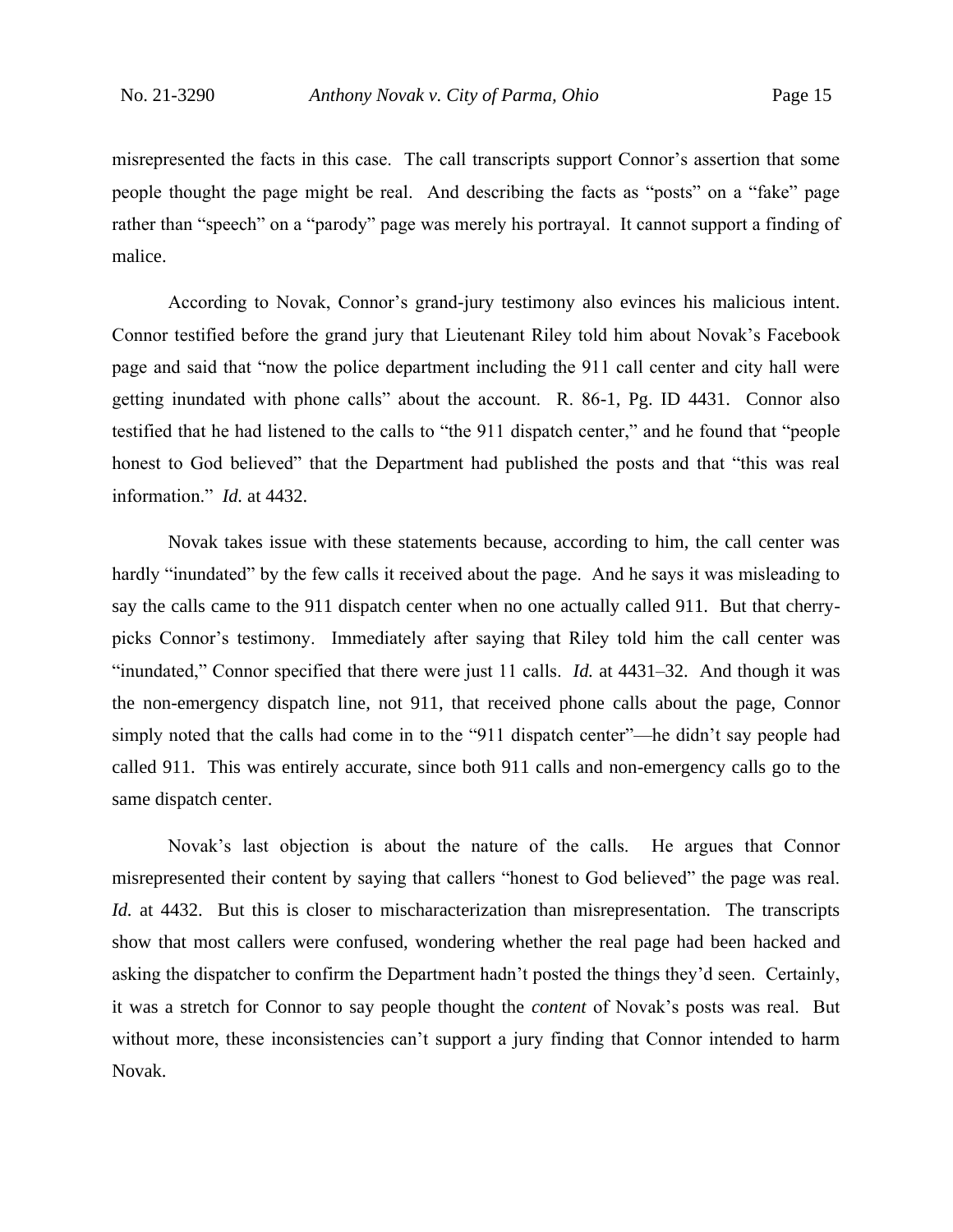misrepresented the facts in this case. The call transcripts support Connor's assertion that some people thought the page might be real. And describing the facts as "posts" on a "fake" page rather than "speech" on a "parody" page was merely his portrayal. It cannot support a finding of malice.

According to Novak, Connor's grand-jury testimony also evinces his malicious intent. Connor testified before the grand jury that Lieutenant Riley told him about Novak's Facebook page and said that "now the police department including the 911 call center and city hall were getting inundated with phone calls" about the account. R. 86-1, Pg. ID 4431. Connor also testified that he had listened to the calls to "the 911 dispatch center," and he found that "people honest to God believed" that the Department had published the posts and that "this was real information." *Id.* at 4432.

Novak takes issue with these statements because, according to him, the call center was hardly "inundated" by the few calls it received about the page. And he says it was misleading to say the calls came to the 911 dispatch center when no one actually called 911. But that cherrypicks Connor's testimony. Immediately after saying that Riley told him the call center was "inundated," Connor specified that there were just 11 calls. *Id.* at 4431–32. And though it was the non-emergency dispatch line, not 911, that received phone calls about the page, Connor simply noted that the calls had come in to the "911 dispatch center"—he didn't say people had called 911. This was entirely accurate, since both 911 calls and non-emergency calls go to the same dispatch center.

Novak's last objection is about the nature of the calls. He argues that Connor misrepresented their content by saying that callers "honest to God believed" the page was real. *Id.* at 4432. But this is closer to mischaracterization than misrepresentation. The transcripts show that most callers were confused, wondering whether the real page had been hacked and asking the dispatcher to confirm the Department hadn't posted the things they'd seen. Certainly, it was a stretch for Connor to say people thought the *content* of Novak's posts was real. But without more, these inconsistencies can't support a jury finding that Connor intended to harm Novak.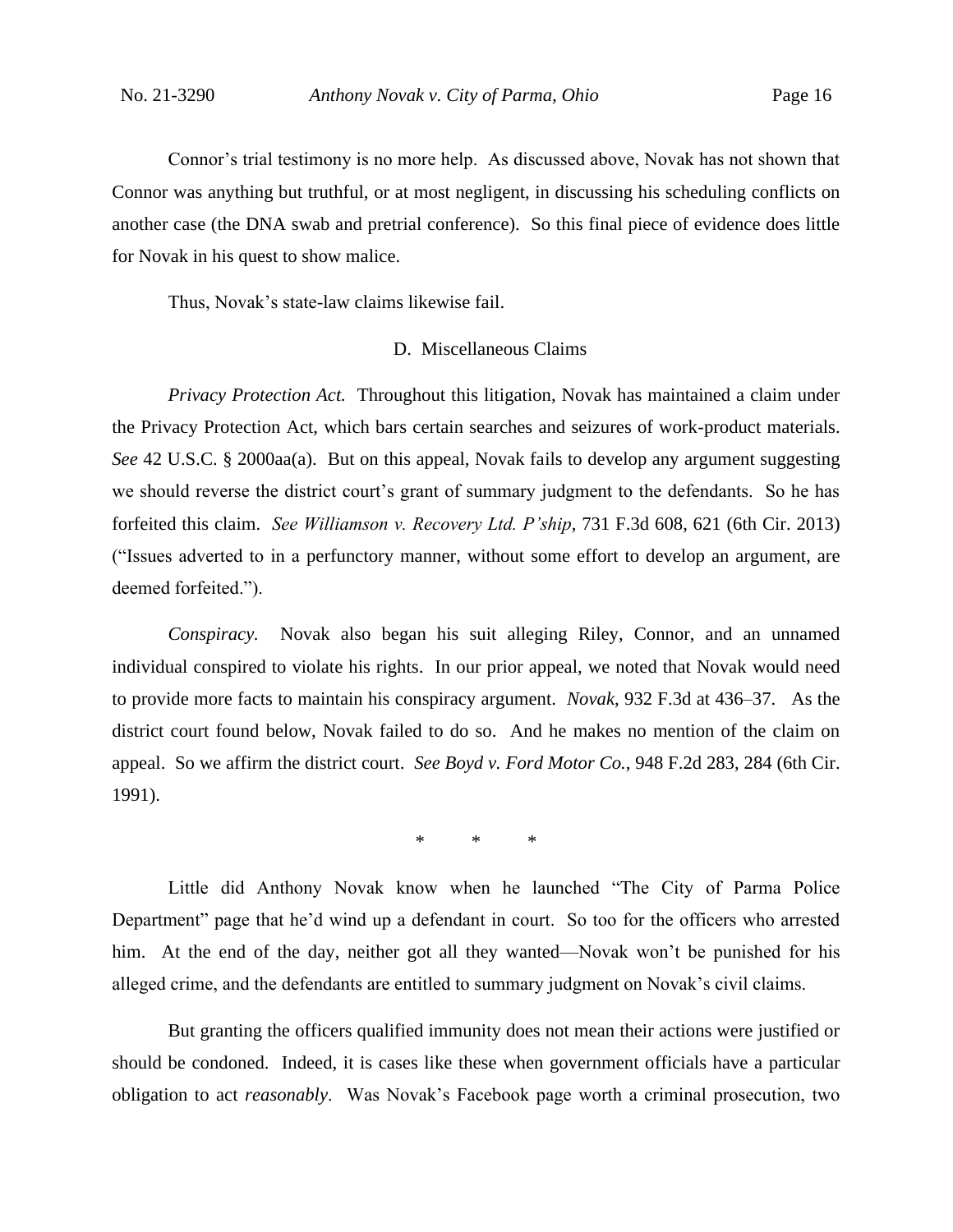Connor's trial testimony is no more help. As discussed above, Novak has not shown that Connor was anything but truthful, or at most negligent, in discussing his scheduling conflicts on another case (the DNA swab and pretrial conference). So this final piece of evidence does little for Novak in his quest to show malice.

Thus, Novak's state-law claims likewise fail.

#### D. Miscellaneous Claims

*Privacy Protection Act.* Throughout this litigation, Novak has maintained a claim under the Privacy Protection Act, which bars certain searches and seizures of work-product materials. *See* 42 U.S.C. § 2000aa(a). But on this appeal, Novak fails to develop any argument suggesting we should reverse the district court's grant of summary judgment to the defendants. So he has forfeited this claim. *See Williamson v. Recovery Ltd. P'ship*, 731 F.3d 608, 621 (6th Cir. 2013) ("Issues adverted to in a perfunctory manner, without some effort to develop an argument, are deemed forfeited.").

*Conspiracy.* Novak also began his suit alleging Riley, Connor, and an unnamed individual conspired to violate his rights. In our prior appeal, we noted that Novak would need to provide more facts to maintain his conspiracy argument. *Novak*, 932 F.3d at 436–37. As the district court found below, Novak failed to do so. And he makes no mention of the claim on appeal. So we affirm the district court. *See Boyd v. Ford Motor Co.*, 948 F.2d 283, 284 (6th Cir. 1991).

\* \* \*

Little did Anthony Novak know when he launched "The City of Parma Police Department" page that he'd wind up a defendant in court. So too for the officers who arrested him. At the end of the day, neither got all they wanted—Novak won't be punished for his alleged crime, and the defendants are entitled to summary judgment on Novak's civil claims.

But granting the officers qualified immunity does not mean their actions were justified or should be condoned. Indeed, it is cases like these when government officials have a particular obligation to act *reasonably*. Was Novak's Facebook page worth a criminal prosecution, two